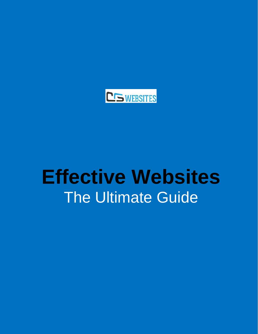

# **Effective Websites The Ultimate Guide**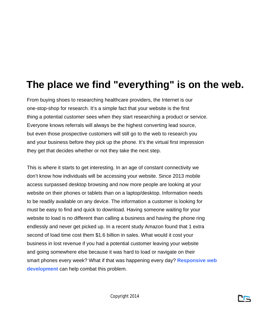#### **The place we find "everything" is on the web.**

From buying shoes to researching healthcare providers, the Internet is our one-stop-shop for research. It's a simple fact that your website is the first thing a potential customer sees when they start researching a product or service. Everyone knows referrals will always be the highest converting lead source, but even those prospective customers will still go to the web to research you and your business before they pick up the phone. It's the virtual first impression they get that decides whether or not they take the next step.

This is where it starts to get interesting. In an age of constant connectivity we don't know how individuals will be accessing your website. Since 2013 mobile access surpassed desktop browsing and now more people are looking at your website on their phones or tablets than on a laptop/desktop. Information needs to be readily available on any device. The information a customer is looking for must be easy to find and quick to download. Having someone waiting for your website to load is no different than calling a business and having the phone ring endlessly and never get picked up. In a recent study Amazon found that 1 extra second of load time cost them \$1.6 billion in sales. What would it cost your business in lost revenue if you had a potential customer leaving your website and going somewhere else because it was hard to load or navigate on their smart phones every week? What if that was happening every day? **Responsive web development** can help combat this problem.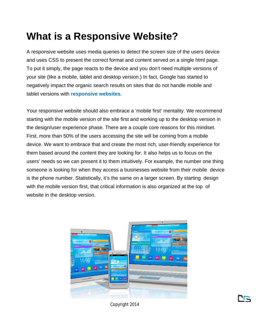#### **What is a Responsive Website?**

A responsive website uses media queries to detect the screen size of the users device and uses CSS to present the correct format and content served on a single html page. To put it simply, the page reacts to the device and you don't need multiple versions of your site (like a mobile, tablet and desktop version.) In fact, Google has started to negatively impact the organic search results on sites that do not handle mobile and tablet versions with **responsive websites**.

Your responsive website should also embrace a 'mobile first' mentality. We recommend starting with the mobile version of the site first and working up to the desktop version in the design/user experience phase. There are a couple core reasons for this mindset. First, more than 50% of the users accessing the site will be coming from a mobile device. We want to embrace that and create the most rich, user-friendly experience for them based around the content they are looking for. It also helps us to focus on the users' needs so we can present it to them intuitively. For example, the number one thing someone is looking for when they access a businesses website from their mobile device is the phone number. Statistically, it's the same on a larger screen. By starting design with the mobile version first, that critical information is also organized at the top of website in the desktop version.



Copyright 2014

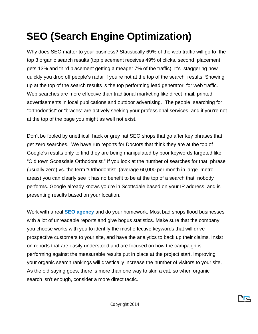## **SEO (Search Engine Optimization)**

Why does SEO matter to your business? Statistically 69% of the web traffic will go to the top 3 organic search results (top placement receives 49% of clicks, second placement gets 13% and third placement getting a meager 7% of the traffic). It's staggering how quickly you drop off people's radar if you're not at the top of the search results. Showing up at the top of the search results is the top performing lead generator for web traffic. Web searches are more effective than traditional marketing like direct mail, printed advertisements in local publications and outdoor advertising. The people searching for "orthodontist" or "braces" are actively seeking your professional services and if you're not at the top of the page you might as well not exist.

Don't be fooled by unethical, hack or grey hat SEO shops that go after key phrases that get zero searches. We have run reports for Doctors that think they are at the top of Google's results only to find they are being manipulated by poor keywords targeted like "Old town Scottsdale Orthodontist." If you look at the number of searches for that phrase (usually zero) vs. the term "Orthodontist" (average 60,000 per month in large metro areas) you can clearly see it has no benefit to be at the top of a search that nobody performs. Google already knows you're in Scottsdale based on your IP address and is presenting results based on your location.

Work with a real **SEO agency** and do your homework. Most bad shops flood businesses with a lot of unreadable reports and give bogus statistics. Make sure that the company you choose works with you to identify the most effective keywords that will drive prospective customers to your site, and have the analytics to back up their claims. Insist on reports that are easily understood and are focused on how the campaign is performing against the measurable results put in place at the project start. Improving your organic search rankings will drastically increase the number of visitors to your site. As the old saying goes, there is more than one way to skin a cat, so when organic search isn't enough, consider a more direct tactic.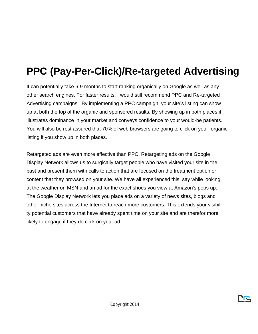## **PPC (Pay-Per-Click)/Re-targeted Advertising**

It can potentially take 6-9 months to start ranking organically on Google as well as any other search engines. For faster results, I would still recommend PPC and Re-targeted Advertising campaigns. By implementing a PPC campaign, your site's listing can show up at both the top of the organic and sponsored results. By showing up in both places it illustrates dominance in your market and conveys confidence to your would-be patients. You will also be rest assured that 70% of web browsers are going to click on your organic listing if you show up in both places.

Retargeted ads are even more effective than PPC. Retargeting ads on the Google Display Network allows us to surgically target people who have visited your site in the past and present them with calls to action that are focused on the treatment option or content that they browsed on your site. We have all experienced this; say while looking at the weather on MSN and an ad for the exact shoes you view at Amazon's pops up. The Google Display Network lets you place ads on a variety of news sites, blogs and other niche sites across the Internet to reach more customers. This extends your visibility potential customers that have already spent time on your site and are therefor more likely to engage if they do click on your ad.

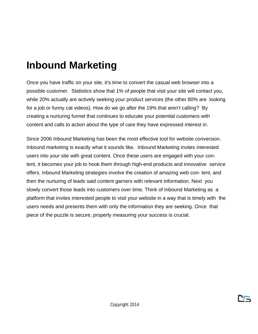#### **Inbound Marketing**

Once you have traffic on your site, it's time to convert the casual web browser into a possible customer. Statistics show that 1% of people that visit your site will contact you, while 20% actually are actively seeking your product services (the other 80% are looking for a job or funny cat videos). How do we go after the 19% that aren't calling? By creating a nurturing funnel that continues to educate your potential customers with content and calls to action about the type of care they have expressed interest in.

Since 2006 Inbound Marketing has been the most effective tool for website conversion. Inbound marketing is exactly what it sounds like. Inbound Marketing invites interested users into your site with great content. Once these users are engaged with your content, it becomes your job to hook them through high-end products and innovative service offers. Inbound Marketing strategies involve the creation of amazing web con- tent, and then the nurturing of leads said content garners with relevant information. Next you slowly convert those leads into customers over time. Think of Inbound Marketing as a platform that invites interested people to visit your website in a way that is timely with the users needs and presents them with only the information they are seeking. Once that piece of the puzzle is secure, properly measuring your success is crucial.

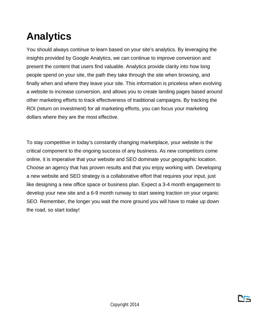## **Analytics**

You should always continue to learn based on your site's analytics. By leveraging the insights provided by Google Analytics, we can continue to improve conversion and present the content that users find valuable. Analytics provide clarity into how long people spend on your site, the path they take through the site when browsing, and finally when and where they leave your site. This information is priceless when evolving a website to increase conversion, and allows you to create landing pages based around other marketing efforts to track effectiveness of traditional campaigns. By tracking the ROI (return on investment) for all marketing efforts, you can focus your marketing dollars where they are the most effective.

To stay competitive in today's constantly changing marketplace, your website is the critical component to the ongoing success of any business. As new competitors come online, it is imperative that your website and SEO dominate your geographic location. Choose an agency that has proven results and that you enjoy working with. Developing a new website and SEO strategy is a collaborative effort that requires your input, just like designing a new office space or business plan. Expect a 3-4 month engagement to develop your new site and a 6-9 month runway to start seeing traction on your organic SEO. Remember, the longer you wait the more ground you will have to make up down the road, so start today!